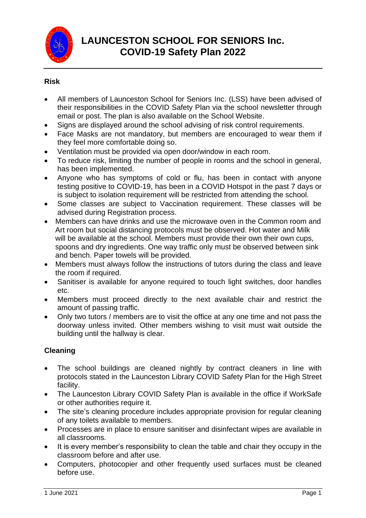

### **Risk**

- All members of Launceston School for Seniors Inc. (LSS) have been advised of their responsibilities in the COVID Safety Plan via the school newsletter through email or post. The plan is also available on the School Website.
- Signs are displayed around the school advising of risk control requirements.
- Face Masks are not mandatory, but members are encouraged to wear them if they feel more comfortable doing so.
- Ventilation must be provided via open door/window in each room.
- To reduce risk, limiting the number of people in rooms and the school in general, has been implemented.
- Anyone who has symptoms of cold or flu, has been in contact with anyone testing positive to COVID-19, has been in a COVID Hotspot in the past 7 days or is subject to isolation requirement will be restricted from attending the school.
- Some classes are subject to Vaccination requirement. These classes will be advised during Registration process.
- Members can have drinks and use the microwave oven in the Common room and Art room but social distancing protocols must be observed. Hot water and Milk will be available at the school. Members must provide their own their own cups, spoons and dry ingredients. One way traffic only must be observed between sink and bench. Paper towels will be provided.
- Members must always follow the instructions of tutors during the class and leave the room if required.
- Sanitiser is available for anyone required to touch light switches, door handles etc.
- Members must proceed directly to the next available chair and restrict the amount of passing traffic.
- Only two tutors / members are to visit the office at any one time and not pass the doorway unless invited. Other members wishing to visit must wait outside the building until the hallway is clear.

### **Cleaning**

- The school buildings are cleaned nightly by contract cleaners in line with protocols stated in the Launceston Library COVID Safety Plan for the High Street facility.
- The Launceston Library COVID Safety Plan is available in the office if WorkSafe or other authorities require it.
- The site's cleaning procedure includes appropriate provision for regular cleaning of any toilets available to members.
- Processes are in place to ensure sanitiser and disinfectant wipes are available in all classrooms.
- It is every member's responsibility to clean the table and chair they occupy in the classroom before and after use.
- Computers, photocopier and other frequently used surfaces must be cleaned before use.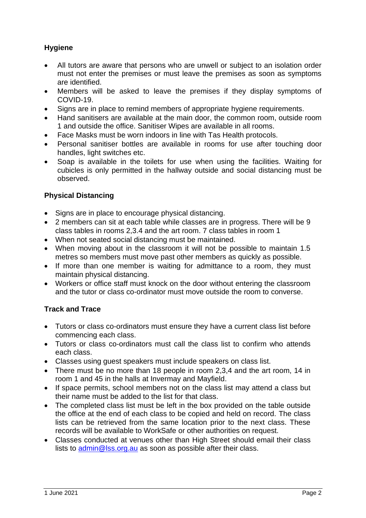# **Hygiene**

- All tutors are aware that persons who are unwell or subject to an isolation order must not enter the premises or must leave the premises as soon as symptoms are identified.
- Members will be asked to leave the premises if they display symptoms of COVID-19.
- Signs are in place to remind members of appropriate hygiene requirements.
- Hand sanitisers are available at the main door, the common room, outside room 1 and outside the office. Sanitiser Wipes are available in all rooms.
- Face Masks must be worn indoors in line with Tas Health protocols.
- Personal sanitiser bottles are available in rooms for use after touching door handles, light switches etc.
- Soap is available in the toilets for use when using the facilities. Waiting for cubicles is only permitted in the hallway outside and social distancing must be observed.

## **Physical Distancing**

- Signs are in place to encourage physical distancing.
- 2 members can sit at each table while classes are in progress. There will be 9 class tables in rooms 2,3.4 and the art room. 7 class tables in room 1
- When not seated social distancing must be maintained.
- When moving about in the classroom it will not be possible to maintain 1.5 metres so members must move past other members as quickly as possible.
- If more than one member is waiting for admittance to a room, they must maintain physical distancing.
- Workers or office staff must knock on the door without entering the classroom and the tutor or class co-ordinator must move outside the room to converse.

# **Track and Trace**

- Tutors or class co-ordinators must ensure they have a current class list before commencing each class.
- Tutors or class co-ordinators must call the class list to confirm who attends each class.
- Classes using guest speakers must include speakers on class list.
- There must be no more than 18 people in room 2,3,4 and the art room, 14 in room 1 and 45 in the halls at Invermay and Mayfield.
- If space permits, school members not on the class list may attend a class but their name must be added to the list for that class.
- The completed class list must be left in the box provided on the table outside the office at the end of each class to be copied and held on record. The class lists can be retrieved from the same location prior to the next class. These records will be available to WorkSafe or other authorities on request.
- Classes conducted at venues other than High Street should email their class lists to [admin@lss.org.au](mailto:admin@lss.org.au) as soon as possible after their class.